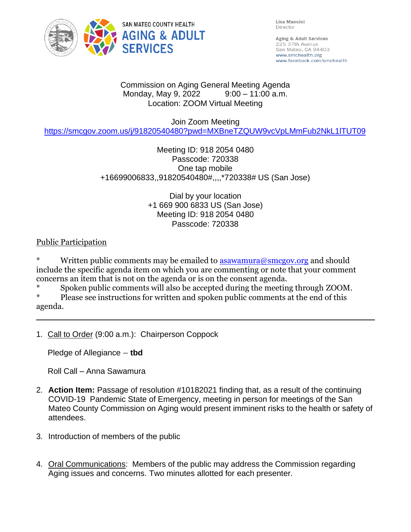

Lisa Mancini Director

Aging & Adult Services 225 37th Avenue San Mateo, CA 94403 www.smchealth.org www.facebook.com/smchealth

#### Commission on Aging General Meeting Agenda Monday, May 9, 2022 9:00 - 11:00 a.m. Location: ZOOM Virtual Meeting

Join Zoom Meeting

<https://smcgov.zoom.us/j/91820540480?pwd=MXBneTZQUW9vcVpLMmFub2NkL1lTUT09>

## Meeting ID: 918 2054 0480 Passcode: 720338 One tap mobile +16699006833,,91820540480#,,,,\*720338# US (San Jose)

Dial by your location +1 669 900 6833 US (San Jose) Meeting ID: 918 2054 0480 Passcode: 720338

Public Participation

Written public comments may be emailed to  $\frac{1}{2}$  as awamura@smcgov.org and should include the specific agenda item on which you are commenting or note that your comment concerns an item that is not on the agenda or is on the consent agenda.

\* Spoken public comments will also be accepted during the meeting through ZOOM.

Please see instructions for written and spoken public comments at the end of this agenda.

1. Call to Order (9:00 a.m.): Chairperson Coppock

Pledge of Allegiance – **tbd**

Roll Call – Anna Sawamura

- 2. **Action Item:** Passage of resolution #10182021 finding that, as a result of the continuing COVID-19 Pandemic State of Emergency, meeting in person for meetings of the San Mateo County Commission on Aging would present imminent risks to the health or safety of attendees.
- 3. Introduction of members of the public
- 4. Oral Communications: Members of the public may address the Commission regarding Aging issues and concerns. Two minutes allotted for each presenter.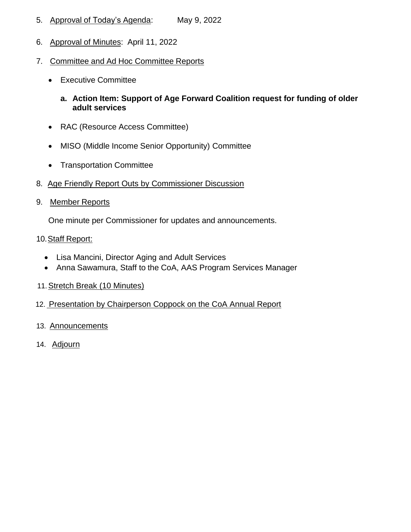- 5. Approval of Today's Agenda: May 9, 2022
- 6. Approval of Minutes: April 11, 2022
- 7. Committee and Ad Hoc Committee Reports
	- Executive Committee
		- **a. Action Item: Support of Age Forward Coalition request for funding of older adult services**
	- RAC (Resource Access Committee)
	- MISO (Middle Income Senior Opportunity) Committee
	- Transportation Committee
- 8. Age Friendly Report Outs by Commissioner Discussion
- 9. Member Reports

One minute per Commissioner for updates and announcements.

#### 10. Staff Report:

- Lisa Mancini, Director Aging and Adult Services
- Anna Sawamura, Staff to the CoA, AAS Program Services Manager
- 11.Stretch Break (10 Minutes)
- 12. Presentation by Chairperson Coppock on the CoA Annual Report
- 13. Announcements
- 14. Adjourn